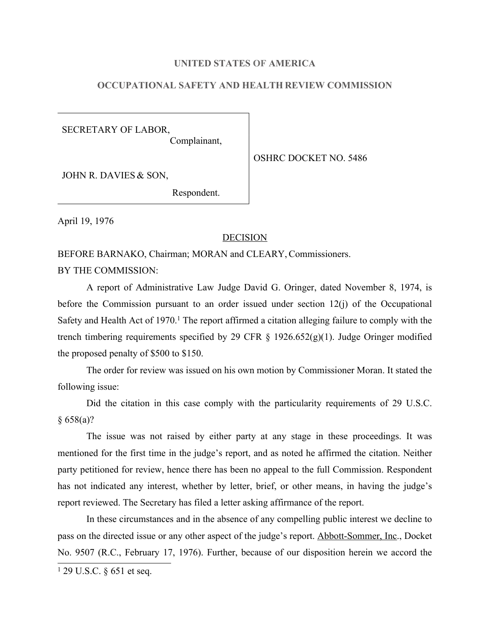### **UNITED STATES OF AMERICA**

## **OCCUPATIONAL SAFETY AND HEALTH REVIEW COMMISSION**

SECRETARY OF LABOR, Complainant,

OSHRC DOCKET NO. 5486

JOHN R. DAVIES & SON,

Respondent.

April 19, 1976

#### **DECISION**

BEFORE BARNAKO, Chairman; MORAN and CLEARY, Commissioners. BY THE COMMISSION:

A report of Administrative Law Judge David G. Oringer, dated November 8, 1974, is before the Commission pursuant to an order issued under section 12(j) of the Occupational Safety and Health Act of  $1970<sup>1</sup>$ . The report affirmed a citation alleging failure to comply with the trench timbering requirements specified by 29 CFR  $\S$  1926.652(g)(1). Judge Oringer modified the proposed penalty of \$500 to \$150.

The order for review was issued on his own motion by Commissioner Moran. It stated the following issue:

Did the citation in this case comply with the particularity requirements of 29 U.S.C. § 658(a)?

The issue was not raised by either party at any stage in these proceedings. It was mentioned for the first time in the judge's report, and as noted he affirmed the citation. Neither party petitioned for review, hence there has been no appeal to the full Commission. Respondent has not indicated any interest, whether by letter, brief, or other means, in having the judge's report reviewed. The Secretary has filed a letter asking affirmance of the report.

In these circumstances and in the absence of any compelling public interest we decline to pass on the directed issue or any other aspect of the judge's report. Abbott-Sommer, Inc., Docket No. 9507 (R.C., February 17, 1976). Further, because of our disposition herein we accord the

<sup>1</sup> 29 U.S.C. § 651 et seq.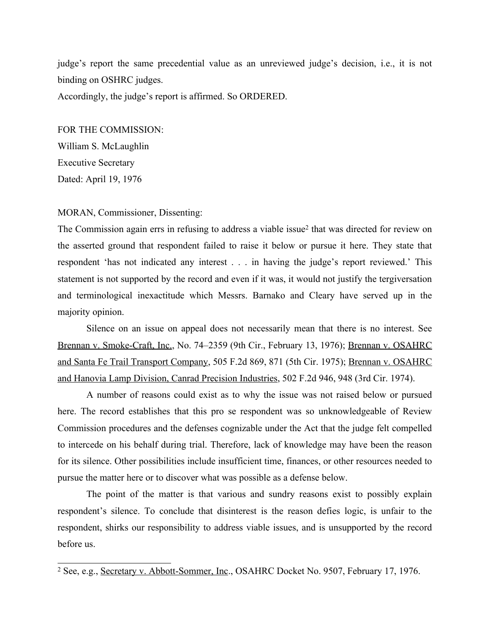judge's report the same precedential value as an unreviewed judge's decision, i.e., it is not binding on OSHRC judges. Accordingly, the judge's report is affirmed. So ORDERED.

FOR THE COMMISSION: William S. McLaughlin Executive Secretary Dated: April 19, 1976

MORAN, Commissioner, Dissenting:

The Commission again errs in refusing to address a viable issue<sup>2</sup> that was directed for review on the asserted ground that respondent failed to raise it below or pursue it here. They state that respondent 'has not indicated any interest . . . in having the judge's report reviewed.' This statement is not supported by the record and even if it was, it would not justify the tergiversation and terminological inexactitude which Messrs. Barnako and Cleary have served up in the majority opinion.

Silence on an issue on appeal does not necessarily mean that there is no interest. See Brennan v. Smoke-Craft, Inc., No. 74–2359 (9th Cir., February 13, 1976); Brennan v. OSAHRC and Santa Fe Trail Transport Company, 505 F.2d 869, 871 (5th Cir. 1975); Brennan v. OSAHRC and Hanovia Lamp Division, Canrad Precision Industries, 502 F.2d 946, 948 (3rd Cir. 1974).

A number of reasons could exist as to why the issue was not raised below or pursued here. The record establishes that this pro se respondent was so unknowledgeable of Review Commission procedures and the defenses cognizable under the Act that the judge felt compelled to intercede on his behalf during trial. Therefore, lack of knowledge may have been the reason for its silence. Other possibilities include insufficient time, finances, or other resources needed to pursue the matter here or to discover what was possible as a defense below.

The point of the matter is that various and sundry reasons exist to possibly explain respondent's silence. To conclude that disinterest is the reason defies logic, is unfair to the respondent, shirks our responsibility to address viable issues, and is unsupported by the record before us.

<sup>&</sup>lt;sup>2</sup> See, e.g., Secretary v. Abbott-Sommer, Inc., OSAHRC Docket No. 9507, February 17, 1976.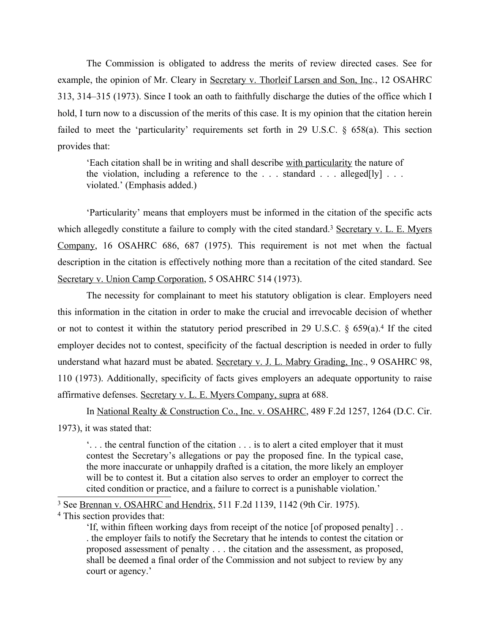The Commission is obligated to address the merits of review directed cases. See for example, the opinion of Mr. Cleary in Secretary v. Thorleif Larsen and Son, Inc., 12 OSAHRC 313, 314–315 (1973). Since I took an oath to faithfully discharge the duties of the office which I hold, I turn now to a discussion of the merits of this case. It is my opinion that the citation herein failed to meet the 'particularity' requirements set forth in 29 U.S.C. § 658(a). This section provides that:

'Each citation shall be in writing and shall describe with particularity the nature of the violation, including a reference to the  $\ldots$  standard  $\ldots$  alleged[ly]  $\ldots$ violated.' (Emphasis added.)

'Particularity' means that employers must be informed in the citation of the specific acts which allegedly constitute a failure to comply with the cited standard.<sup>3</sup> Secretary v. L. E. Myers Company, 16 OSAHRC 686, 687 (1975). This requirement is not met when the factual description in the citation is effectively nothing more than a recitation of the cited standard. See Secretary v. Union Camp Corporation, 5 OSAHRC 514 (1973).

The necessity for complainant to meet his statutory obligation is clear. Employers need this information in the citation in order to make the crucial and irrevocable decision of whether or not to contest it within the statutory period prescribed in 29 U.S.C. § 659(a).<sup>4</sup> If the cited employer decides not to contest, specificity of the factual description is needed in order to fully understand what hazard must be abated. Secretary v. J. L. Mabry Grading, Inc., 9 OSAHRC 98, 110 (1973). Additionally, specificity of facts gives employers an adequate opportunity to raise affirmative defenses. Secretary v. L. E. Myers Company, supra at 688.

In National Realty & Construction Co., Inc. v. OSAHRC, 489 F.2d 1257, 1264 (D.C. Cir. 1973), it was stated that:

'. . . the central function of the citation . . . is to alert a cited employer that it must contest the Secretary's allegations or pay the proposed fine. In the typical case, the more inaccurate or unhappily drafted is a citation, the more likely an employer will be to contest it. But a citation also serves to order an employer to correct the cited condition or practice, and a failure to correct is a punishable violation.'

<sup>3</sup> See Brennan v. OSAHRC and Hendrix, 511 F.2d 1139, 1142 (9th Cir. 1975).

<sup>4</sup> This section provides that:

'If, within fifteen working days from receipt of the notice [of proposed penalty] . . . the employer fails to notify the Secretary that he intends to contest the citation or proposed assessment of penalty . . . the citation and the assessment, as proposed, shall be deemed a final order of the Commission and not subject to review by any court or agency.'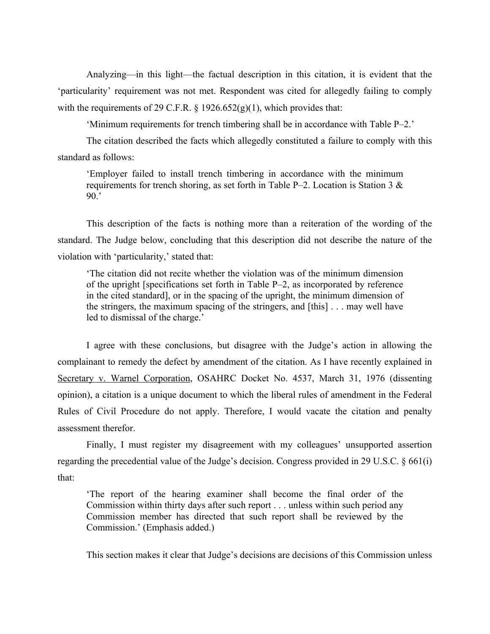Analyzing—in this light—the factual description in this citation, it is evident that the 'particularity' requirement was not met. Respondent was cited for allegedly failing to comply with the requirements of 29 C.F.R.  $\S$  1926.652(g)(1), which provides that:

'Minimum requirements for trench timbering shall be in accordance with Table P–2.'

The citation described the facts which allegedly constituted a failure to comply with this standard as follows:

'Employer failed to install trench timbering in accordance with the minimum requirements for trench shoring, as set forth in Table P–2. Location is Station 3  $\&$ 90.'

This description of the facts is nothing more than a reiteration of the wording of the standard. The Judge below, concluding that this description did not describe the nature of the violation with 'particularity,' stated that:

'The citation did not recite whether the violation was of the minimum dimension of the upright [specifications set forth in Table P–2, as incorporated by reference in the cited standard], or in the spacing of the upright, the minimum dimension of the stringers, the maximum spacing of the stringers, and [this] . . . may well have led to dismissal of the charge.'

I agree with these conclusions, but disagree with the Judge's action in allowing the complainant to remedy the defect by amendment of the citation. As I have recently explained in Secretary v. Warnel Corporation, OSAHRC Docket No. 4537, March 31, 1976 (dissenting opinion), a citation is a unique document to which the liberal rules of amendment in the Federal Rules of Civil Procedure do not apply. Therefore, I would vacate the citation and penalty assessment therefor.

Finally, I must register my disagreement with my colleagues' unsupported assertion regarding the precedential value of the Judge's decision. Congress provided in 29 U.S.C. § 661(i) that:

'The report of the hearing examiner shall become the final order of the Commission within thirty days after such report . . . unless within such period any Commission member has directed that such report shall be reviewed by the Commission.' (Emphasis added.)

This section makes it clear that Judge's decisions are decisions of this Commission unless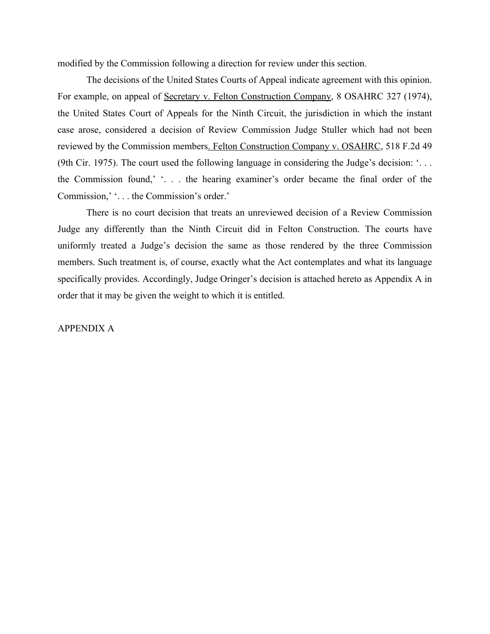modified by the Commission following a direction for review under this section.

The decisions of the United States Courts of Appeal indicate agreement with this opinion. For example, on appeal of Secretary v. Felton Construction Company, 8 OSAHRC 327 (1974), the United States Court of Appeals for the Ninth Circuit, the jurisdiction in which the instant case arose, considered a decision of Review Commission Judge Stuller which had not been reviewed by the Commission members. Felton Construction Company v. OSAHRC, 518 F.2d 49 (9th Cir. 1975). The court used the following language in considering the Judge's decision: '. . . the Commission found,' '. . . the hearing examiner's order became the final order of the Commission,' '. . . the Commission's order.'

There is no court decision that treats an unreviewed decision of a Review Commission Judge any differently than the Ninth Circuit did in Felton Construction. The courts have uniformly treated a Judge's decision the same as those rendered by the three Commission members. Such treatment is, of course, exactly what the Act contemplates and what its language specifically provides. Accordingly, Judge Oringer's decision is attached hereto as Appendix A in order that it may be given the weight to which it is entitled.

#### APPENDIX A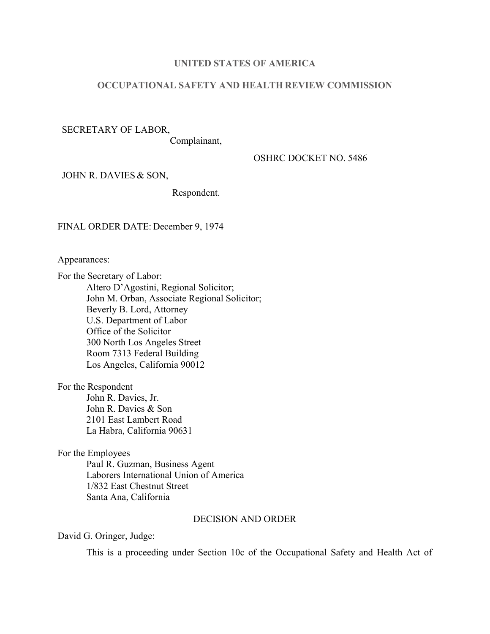### **UNITED STATES OF AMERICA**

## **OCCUPATIONAL SAFETY AND HEALTH REVIEW COMMISSION**

SECRETARY OF LABOR, Complainant,

OSHRC DOCKET NO. 5486

JOHN R. DAVIES & SON,

Respondent.

FINAL ORDER DATE: December 9, 1974

Appearances:

For the Secretary of Labor: Altero D'Agostini, Regional Solicitor; John M. Orban, Associate Regional Solicitor; Beverly B. Lord, Attorney U.S. Department of Labor Office of the Solicitor 300 North Los Angeles Street Room 7313 Federal Building Los Angeles, California 90012

For the Respondent

John R. Davies, Jr. John R. Davies & Son 2101 East Lambert Road La Habra, California 90631

For the Employees

Paul R. Guzman, Business Agent Laborers International Union of America 1/832 East Chestnut Street Santa Ana, California

#### DECISION AND ORDER

David G. Oringer, Judge:

This is a proceeding under Section 10c of the Occupational Safety and Health Act of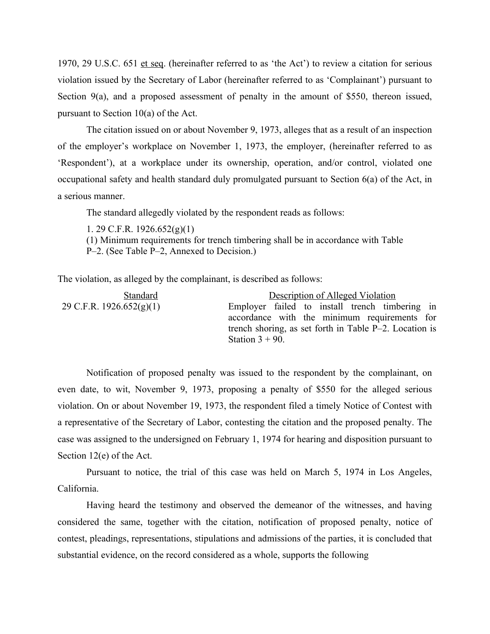1970, 29 U.S.C. 651 et seq. (hereinafter referred to as 'the Act') to review a citation for serious violation issued by the Secretary of Labor (hereinafter referred to as 'Complainant') pursuant to Section 9(a), and a proposed assessment of penalty in the amount of \$550, thereon issued, pursuant to Section 10(a) of the Act.

The citation issued on or about November 9, 1973, alleges that as a result of an inspection of the employer's workplace on November 1, 1973, the employer, (hereinafter referred to as 'Respondent'), at a workplace under its ownership, operation, and/or control, violated one occupational safety and health standard duly promulgated pursuant to Section 6(a) of the Act, in a serious manner.

The standard allegedly violated by the respondent reads as follows:

1. 29 C.F.R. 1926.652(g)(1) (1) Minimum requirements for trench timbering shall be in accordance with Table P–2. (See Table P–2, Annexed to Decision.)

The violation, as alleged by the complainant, is described as follows:

| <b>Standard</b>          | Description of Alleged Violation                          |
|--------------------------|-----------------------------------------------------------|
| 29 C.F.R. 1926.652(g)(1) | Employer failed to install trench timbering in            |
|                          | accordance with the minimum requirements for              |
|                          | trench shoring, as set forth in Table $P-2$ . Location is |
|                          | Station $3 + 90$ .                                        |

Notification of proposed penalty was issued to the respondent by the complainant, on even date, to wit, November 9, 1973, proposing a penalty of \$550 for the alleged serious violation. On or about November 19, 1973, the respondent filed a timely Notice of Contest with a representative of the Secretary of Labor, contesting the citation and the proposed penalty. The case was assigned to the undersigned on February 1, 1974 for hearing and disposition pursuant to Section 12(e) of the Act.

Pursuant to notice, the trial of this case was held on March 5, 1974 in Los Angeles, California.

Having heard the testimony and observed the demeanor of the witnesses, and having considered the same, together with the citation, notification of proposed penalty, notice of contest, pleadings, representations, stipulations and admissions of the parties, it is concluded that substantial evidence, on the record considered as a whole, supports the following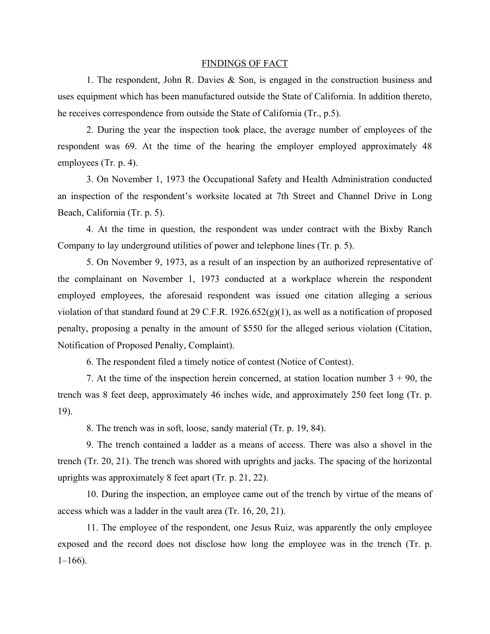#### FINDINGS OF FACT

1. The respondent, John R. Davies & Son, is engaged in the construction business and uses equipment which has been manufactured outside the State of California. In addition thereto, he receives correspondence from outside the State of California (Tr., p.5).

2. During the year the inspection took place, the average number of employees of the respondent was 69. At the time of the hearing the employer employed approximately 48 employees (Tr. p. 4).

3. On November 1, 1973 the Occupational Safety and Health Administration conducted an inspection of the respondent's worksite located at 7th Street and Channel Drive in Long Beach, California (Tr. p. 5).

4. At the time in question, the respondent was under contract with the Bixby Ranch Company to lay underground utilities of power and telephone lines (Tr. p. 5).

5. On November 9, 1973, as a result of an inspection by an authorized representative of the complainant on November 1, 1973 conducted at a workplace wherein the respondent employed employees, the aforesaid respondent was issued one citation alleging a serious violation of that standard found at 29 C.F.R.  $1926.652(g)(1)$ , as well as a notification of proposed penalty, proposing a penalty in the amount of \$550 for the alleged serious violation (Citation, Notification of Proposed Penalty, Complaint).

6. The respondent filed a timely notice of contest (Notice of Contest).

7. At the time of the inspection herein concerned, at station location number  $3 + 90$ , the trench was 8 feet deep, approximately 46 inches wide, and approximately 250 feet long (Tr. p. 19).

8. The trench was in soft, loose, sandy material (Tr. p. 19, 84).

9. The trench contained a ladder as a means of access. There was also a shovel in the trench (Tr. 20, 21). The trench was shored with uprights and jacks. The spacing of the horizontal uprights was approximately 8 feet apart (Tr. p. 21, 22).

10. During the inspection, an employee came out of the trench by virtue of the means of access which was a ladder in the vault area (Tr. 16, 20, 21).

11. The employee of the respondent, one Jesus Ruiz, was apparently the only employee exposed and the record does not disclose how long the employee was in the trench (Tr. p.  $1-166$ ).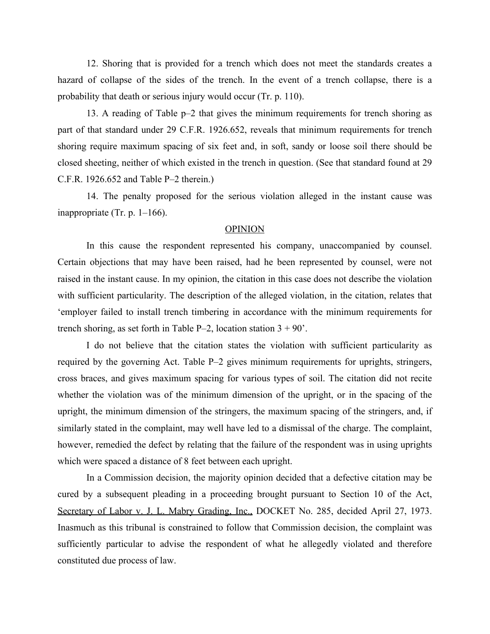12. Shoring that is provided for a trench which does not meet the standards creates a hazard of collapse of the sides of the trench. In the event of a trench collapse, there is a probability that death or serious injury would occur (Tr. p. 110).

13. A reading of Table p–2 that gives the minimum requirements for trench shoring as part of that standard under 29 C.F.R. 1926.652, reveals that minimum requirements for trench shoring require maximum spacing of six feet and, in soft, sandy or loose soil there should be closed sheeting, neither of which existed in the trench in question. (See that standard found at 29 C.F.R. 1926.652 and Table P–2 therein.)

14. The penalty proposed for the serious violation alleged in the instant cause was inappropriate (Tr. p. 1–166).

#### OPINION

In this cause the respondent represented his company, unaccompanied by counsel. Certain objections that may have been raised, had he been represented by counsel, were not raised in the instant cause. In my opinion, the citation in this case does not describe the violation with sufficient particularity. The description of the alleged violation, in the citation, relates that 'employer failed to install trench timbering in accordance with the minimum requirements for trench shoring, as set forth in Table P–2, location station  $3 + 90$ .

I do not believe that the citation states the violation with sufficient particularity as required by the governing Act. Table P–2 gives minimum requirements for uprights, stringers, cross braces, and gives maximum spacing for various types of soil. The citation did not recite whether the violation was of the minimum dimension of the upright, or in the spacing of the upright, the minimum dimension of the stringers, the maximum spacing of the stringers, and, if similarly stated in the complaint, may well have led to a dismissal of the charge. The complaint, however, remedied the defect by relating that the failure of the respondent was in using uprights which were spaced a distance of 8 feet between each upright.

In a Commission decision, the majority opinion decided that a defective citation may be cured by a subsequent pleading in a proceeding brought pursuant to Section 10 of the Act, Secretary of Labor v. J. L. Mabry Grading, Inc., DOCKET No. 285, decided April 27, 1973. Inasmuch as this tribunal is constrained to follow that Commission decision, the complaint was sufficiently particular to advise the respondent of what he allegedly violated and therefore constituted due process of law.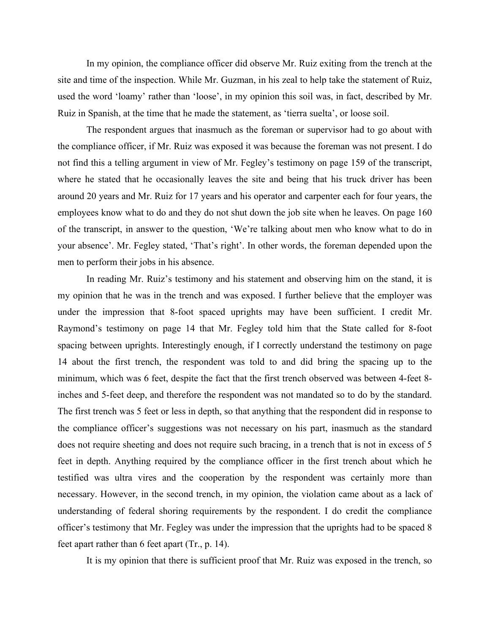In my opinion, the compliance officer did observe Mr. Ruiz exiting from the trench at the site and time of the inspection. While Mr. Guzman, in his zeal to help take the statement of Ruiz, used the word 'loamy' rather than 'loose', in my opinion this soil was, in fact, described by Mr. Ruiz in Spanish, at the time that he made the statement, as 'tierra suelta', or loose soil.

The respondent argues that inasmuch as the foreman or supervisor had to go about with the compliance officer, if Mr. Ruiz was exposed it was because the foreman was not present. I do not find this a telling argument in view of Mr. Fegley's testimony on page 159 of the transcript, where he stated that he occasionally leaves the site and being that his truck driver has been around 20 years and Mr. Ruiz for 17 years and his operator and carpenter each for four years, the employees know what to do and they do not shut down the job site when he leaves. On page 160 of the transcript, in answer to the question, 'We're talking about men who know what to do in your absence'. Mr. Fegley stated, 'That's right'. In other words, the foreman depended upon the men to perform their jobs in his absence.

In reading Mr. Ruiz's testimony and his statement and observing him on the stand, it is my opinion that he was in the trench and was exposed. I further believe that the employer was under the impression that 8-foot spaced uprights may have been sufficient. I credit Mr. Raymond's testimony on page 14 that Mr. Fegley told him that the State called for 8-foot spacing between uprights. Interestingly enough, if I correctly understand the testimony on page 14 about the first trench, the respondent was told to and did bring the spacing up to the minimum, which was 6 feet, despite the fact that the first trench observed was between 4-feet 8 inches and 5-feet deep, and therefore the respondent was not mandated so to do by the standard. The first trench was 5 feet or less in depth, so that anything that the respondent did in response to the compliance officer's suggestions was not necessary on his part, inasmuch as the standard does not require sheeting and does not require such bracing, in a trench that is not in excess of 5 feet in depth. Anything required by the compliance officer in the first trench about which he testified was ultra vires and the cooperation by the respondent was certainly more than necessary. However, in the second trench, in my opinion, the violation came about as a lack of understanding of federal shoring requirements by the respondent. I do credit the compliance officer's testimony that Mr. Fegley was under the impression that the uprights had to be spaced 8 feet apart rather than 6 feet apart (Tr., p. 14).

It is my opinion that there is sufficient proof that Mr. Ruiz was exposed in the trench, so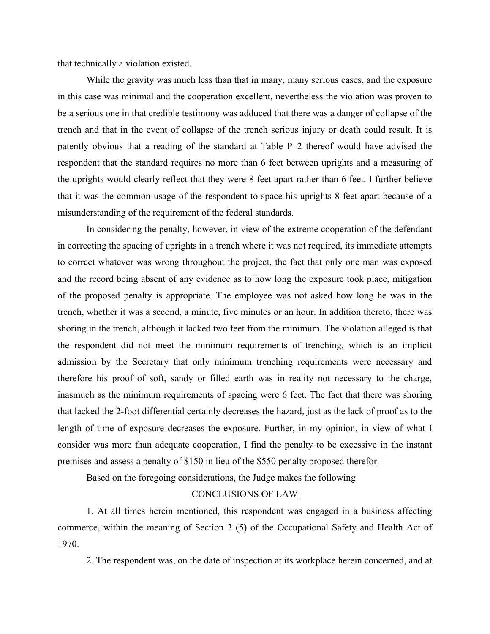that technically a violation existed.

While the gravity was much less than that in many, many serious cases, and the exposure in this case was minimal and the cooperation excellent, nevertheless the violation was proven to be a serious one in that credible testimony was adduced that there was a danger of collapse of the trench and that in the event of collapse of the trench serious injury or death could result. It is patently obvious that a reading of the standard at Table P–2 thereof would have advised the respondent that the standard requires no more than 6 feet between uprights and a measuring of the uprights would clearly reflect that they were 8 feet apart rather than 6 feet. I further believe that it was the common usage of the respondent to space his uprights 8 feet apart because of a misunderstanding of the requirement of the federal standards.

In considering the penalty, however, in view of the extreme cooperation of the defendant in correcting the spacing of uprights in a trench where it was not required, its immediate attempts to correct whatever was wrong throughout the project, the fact that only one man was exposed and the record being absent of any evidence as to how long the exposure took place, mitigation of the proposed penalty is appropriate. The employee was not asked how long he was in the trench, whether it was a second, a minute, five minutes or an hour. In addition thereto, there was shoring in the trench, although it lacked two feet from the minimum. The violation alleged is that the respondent did not meet the minimum requirements of trenching, which is an implicit admission by the Secretary that only minimum trenching requirements were necessary and therefore his proof of soft, sandy or filled earth was in reality not necessary to the charge, inasmuch as the minimum requirements of spacing were 6 feet. The fact that there was shoring that lacked the 2-foot differential certainly decreases the hazard, just as the lack of proof as to the length of time of exposure decreases the exposure. Further, in my opinion, in view of what I consider was more than adequate cooperation, I find the penalty to be excessive in the instant premises and assess a penalty of \$150 in lieu of the \$550 penalty proposed therefor.

Based on the foregoing considerations, the Judge makes the following

### CONCLUSIONS OF LAW

1. At all times herein mentioned, this respondent was engaged in a business affecting commerce, within the meaning of Section 3 (5) of the Occupational Safety and Health Act of 1970.

2. The respondent was, on the date of inspection at its workplace herein concerned, and at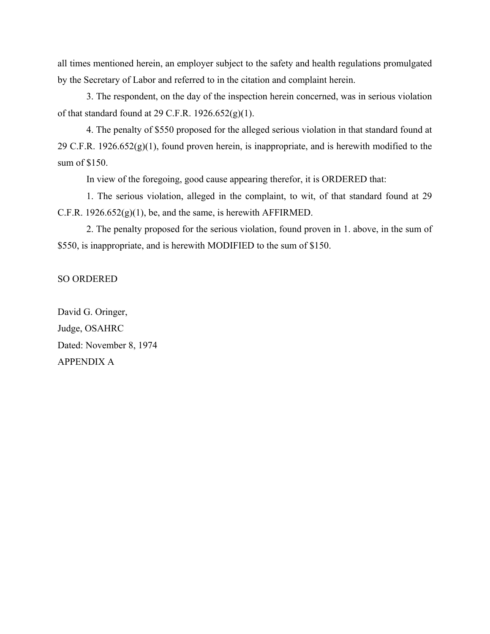all times mentioned herein, an employer subject to the safety and health regulations promulgated by the Secretary of Labor and referred to in the citation and complaint herein.

3. The respondent, on the day of the inspection herein concerned, was in serious violation of that standard found at 29 C.F.R.  $1926.652(g)(1)$ .

4. The penalty of \$550 proposed for the alleged serious violation in that standard found at 29 C.F.R.  $1926.652(g)(1)$ , found proven herein, is inappropriate, and is herewith modified to the sum of \$150.

In view of the foregoing, good cause appearing therefor, it is ORDERED that:

1. The serious violation, alleged in the complaint, to wit, of that standard found at 29 C.F.R.  $1926.652(g)(1)$ , be, and the same, is herewith AFFIRMED.

2. The penalty proposed for the serious violation, found proven in 1. above, in the sum of \$550, is inappropriate, and is herewith MODIFIED to the sum of \$150.

# SO ORDERED

David G. Oringer, Judge, OSAHRC Dated: November 8, 1974 APPENDIX A